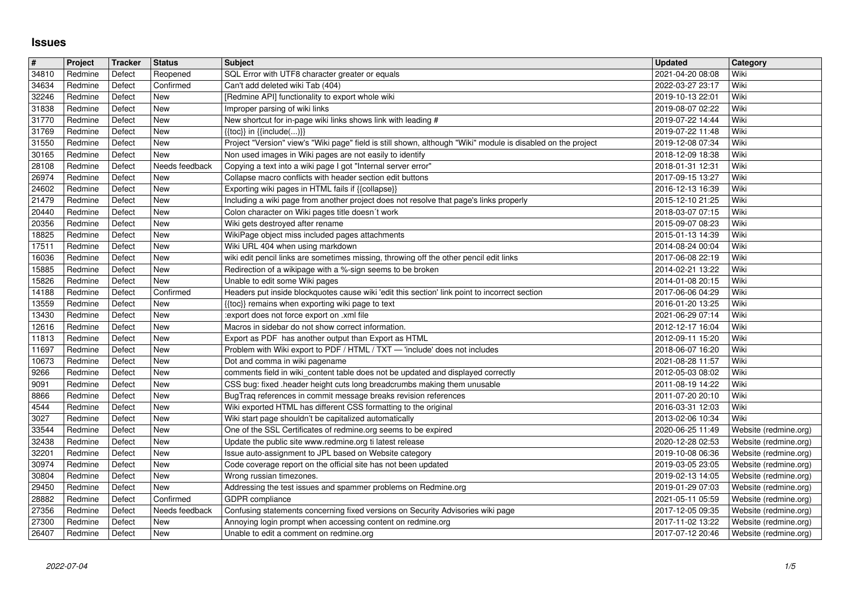## **Issues**

| $\pmb{\#}$     | Project            | Tracker          | Status                | <b>Subject</b>                                                                                                                               | <b>Updated</b>                       | <b>Category</b>                                |
|----------------|--------------------|------------------|-----------------------|----------------------------------------------------------------------------------------------------------------------------------------------|--------------------------------------|------------------------------------------------|
| 34810<br>34634 | Redmine<br>Redmine | Defect<br>Defect | Reopened<br>Confirmed | SQL Error with UTF8 character greater or equals<br>Can't add deleted wiki Tab (404)                                                          | 2021-04-20 08:08<br>2022-03-27 23:17 | Wiki<br>Wiki                                   |
| 32246          | Redmine            | Defect           | New                   | [Redmine API] functionality to export whole wiki                                                                                             | 2019-10-13 22:01                     | Wiki                                           |
| 31838<br>31770 | Redmine<br>Redmine | Defect<br>Defect | New<br>New            | Improper parsing of wiki links<br>New shortcut for in-page wiki links shows link with leading #                                              | 2019-08-07 02:22<br>2019-07-22 14:44 | Wiki<br>Wiki                                   |
| 31769          | Redmine            | Defect           | New                   | $\{\{toc\}\}\$ in $\{\{include(C, )\}\}\$                                                                                                    | 2019-07-22 11:48                     | Wiki                                           |
| 31550          | Redmine            | Defect           | New                   | Project "Version" view's "Wiki page" field is still shown, although "Wiki" module is disabled on the project                                 | 2019-12-08 07:34                     | Wiki                                           |
| 30165<br>28108 | Redmine<br>Redmine | Defect<br>Defect | New<br>Needs feedback | Non used images in Wiki pages are not easily to identify<br>Copying a text into a wiki page I got "Internal server error"                    | 2018-12-09 18:38<br>2018-01-31 12:31 | Wiki<br>Wiki                                   |
| 26974          | Redmine            | Defect           | New                   | Collapse macro conflicts with header section edit buttons                                                                                    | 2017-09-15 13:27                     | Wiki                                           |
| 24602          | Redmine            | Defect           | New<br>New            | Exporting wiki pages in HTML fails if {{collapse}}<br>Including a wiki page from another project does not resolve that page's links properly | 2016-12-13 16:39                     | Wiki<br>  Wiki                                 |
| 21479<br>20440 | Redmine<br>Redmine | Defect<br>Defect | New                   | Colon character on Wiki pages title doesn't work                                                                                             | 2015-12-10 21:25<br>2018-03-07 07:15 | Wiki                                           |
| 20356          | Redmine            | Defect           | New                   | Wiki gets destroyed after rename                                                                                                             | 2015-09-07 08:23                     | Wiki                                           |
| 18825<br>17511 | Redmine<br>Redmine | Defect<br>Defect | New<br>New            | WikiPage object miss included pages attachments<br>Wiki URL 404 when using markdown                                                          | 2015-01-13 14:39<br>2014-08-24 00:04 | Wiki<br>Wiki                                   |
| 16036          | Redmine            | Defect           | New                   | wiki edit pencil links are sometimes missing, throwing off the other pencil edit links                                                       | 2017-06-08 22:19                     | Wiki                                           |
| 15885<br>15826 | Redmine<br>Redmine | Defect<br>Defect | New<br>New            | Redirection of a wikipage with a %-sign seems to be broken<br>Unable to edit some Wiki pages                                                 | 2014-02-21 13:22<br>2014-01-08 20:15 | Wiki<br>Wiki                                   |
| 14188          | Redmine            | Defect           | Confirmed             | Headers put inside blockquotes cause wiki 'edit this section' link point to incorrect section                                                | 2017-06-06 04:29                     | Wiki                                           |
| 13559          | Redmine            | Defect           | New                   | {{toc}} remains when exporting wiki page to text                                                                                             | 2016-01-20 13:25                     | Wiki                                           |
| 13430<br>12616 | Redmine<br>Redmine | Defect<br>Defect | New<br>New            | :export does not force export on .xml file<br>Macros in sidebar do not show correct information.                                             | 2021-06-29 07:14<br>2012-12-17 16:04 | Wiki<br>Wiki                                   |
| 11813          | Redmine            | Defect           | New                   | Export as PDF has another output than Export as HTML                                                                                         | 2012-09-11 15:20                     | Wiki                                           |
| 11697<br>10673 | Redmine<br>Redmine | Defect<br>Defect | New<br>New            | Problem with Wiki export to PDF / HTML / TXT - 'include' does not includes<br>Dot and comma in wiki pagename                                 | 2018-06-07 16:20<br>2021-08-28 11:57 | Wiki<br>Wiki                                   |
| 9266           | Redmine            | Defect           | New                   | comments field in wiki_content table does not be updated and displayed correctly                                                             | 2012-05-03 08:02                     | Wiki                                           |
| 9091           | Redmine            | Defect           | New                   | CSS bug: fixed .header height cuts long breadcrumbs making them unusable                                                                     | 2011-08-19 14:22                     | Wiki                                           |
| 8866<br>4544   | Redmine<br>Redmine | Defect<br>Defect | New<br>New            | BugTraq references in commit message breaks revision references<br>Wiki exported HTML has different CSS formatting to the original           | 2011-07-20 20:10<br>2016-03-31 12:03 | Wiki<br>Wiki                                   |
| 3027           | Redmine            | Defect           | New                   | Wiki start page shouldn't be capitalized automatically                                                                                       | 2013-02-06 10:34                     | Wiki                                           |
| 33544          | Redmine            | Defect           | New                   | One of the SSL Certificates of redmine.org seems to be expired                                                                               | 2020-06-25 11:49                     | Website (redmine.org)                          |
| 32438<br>32201 | Redmine<br>Redmine | Defect<br>Defect | New<br>New            | Update the public site www.redmine.org ti latest release<br>Issue auto-assignment to JPL based on Website category                           | 2020-12-28 02:53<br>2019-10-08 06:36 | Website (redmine.org)<br>Website (redmine.org) |
| 30974          | Redmine            | Defect           | New                   | Code coverage report on the official site has not been updated                                                                               | 2019-03-05 23:05                     | Website (redmine.org)                          |
| 30804<br>29450 | Redmine<br>Redmine | Defect<br>Defect | New<br>New            | Wrong russian timezones.<br>Addressing the test issues and spammer problems on Redmine.org                                                   | 2019-02-13 14:05<br>2019-01-29 07:03 | Website (redmine.org)<br>Website (redmine.org) |
| 28882          | Redmine            | Defect           | Confirmed             | GDPR compliance                                                                                                                              | 2021-05-11 05:59                     | Website (redmine.org)                          |
| 27356          | Redmine            | Defect           |                       | Needs feedback   Confusing statements concerning fixed versions on Security Advisories wiki page                                             | 2017-12-05 09:35                     | Website (redmine.org)                          |
| 27300<br>26407 | Redmine<br>Redmine | Defect<br>Defect | New<br>New            | Annoying login prompt when accessing content on redmine.org<br>Unable to edit a comment on redmine.org                                       | 2017-11-02 13:22<br>2017-07-12 20:46 | Website (redmine.org)<br>Website (redmine.org) |
|                |                    |                  |                       |                                                                                                                                              |                                      |                                                |
|                |                    |                  |                       |                                                                                                                                              |                                      |                                                |
|                |                    |                  |                       |                                                                                                                                              |                                      |                                                |
|                |                    |                  |                       |                                                                                                                                              |                                      |                                                |
|                |                    |                  |                       |                                                                                                                                              |                                      |                                                |
|                |                    |                  |                       |                                                                                                                                              |                                      |                                                |
|                |                    |                  |                       |                                                                                                                                              |                                      |                                                |
|                |                    |                  |                       |                                                                                                                                              |                                      |                                                |
|                |                    |                  |                       |                                                                                                                                              |                                      |                                                |
|                |                    |                  |                       |                                                                                                                                              |                                      |                                                |
|                |                    |                  |                       |                                                                                                                                              |                                      |                                                |
|                |                    |                  |                       |                                                                                                                                              |                                      |                                                |
|                |                    |                  |                       |                                                                                                                                              |                                      |                                                |
|                |                    |                  |                       |                                                                                                                                              |                                      |                                                |
|                |                    |                  |                       |                                                                                                                                              |                                      |                                                |
|                |                    |                  |                       |                                                                                                                                              |                                      |                                                |
|                |                    |                  |                       |                                                                                                                                              |                                      |                                                |
|                |                    |                  |                       |                                                                                                                                              |                                      |                                                |
|                |                    |                  |                       |                                                                                                                                              |                                      |                                                |
|                |                    |                  |                       |                                                                                                                                              |                                      |                                                |
|                |                    |                  |                       |                                                                                                                                              |                                      |                                                |
|                |                    |                  |                       |                                                                                                                                              |                                      |                                                |
|                |                    |                  |                       |                                                                                                                                              |                                      |                                                |
|                |                    |                  |                       |                                                                                                                                              |                                      |                                                |
|                |                    |                  |                       |                                                                                                                                              |                                      |                                                |
|                |                    |                  |                       |                                                                                                                                              |                                      |                                                |
|                |                    |                  |                       |                                                                                                                                              |                                      |                                                |
|                |                    |                  |                       |                                                                                                                                              |                                      |                                                |
|                |                    |                  |                       |                                                                                                                                              |                                      |                                                |
|                |                    |                  |                       |                                                                                                                                              |                                      |                                                |
|                |                    |                  |                       |                                                                                                                                              |                                      |                                                |
|                |                    |                  |                       |                                                                                                                                              |                                      |                                                |
|                |                    |                  |                       |                                                                                                                                              |                                      |                                                |
|                |                    |                  |                       |                                                                                                                                              |                                      |                                                |
|                |                    |                  |                       |                                                                                                                                              |                                      |                                                |
|                |                    |                  |                       |                                                                                                                                              |                                      |                                                |
|                |                    |                  |                       |                                                                                                                                              |                                      |                                                |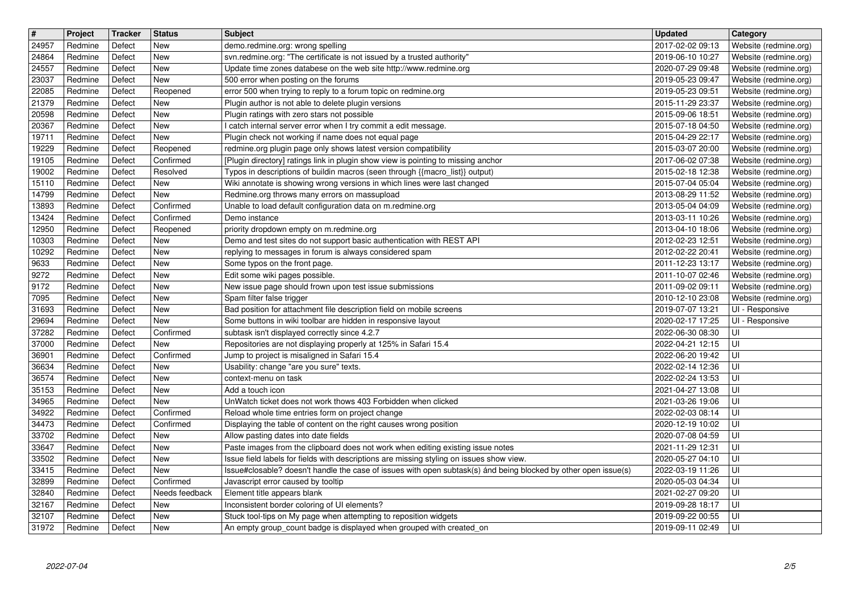| $\overline{\mathbf{t}}$ | Project            | Tracker          | <b>Status</b>         | <b>Subject</b>                                                                                                                                                              | <b>Updated</b>                       | <b>Category</b>                                |
|-------------------------|--------------------|------------------|-----------------------|-----------------------------------------------------------------------------------------------------------------------------------------------------------------------------|--------------------------------------|------------------------------------------------|
| 24957<br>24864          | Redmine<br>Redmine | Defect<br>Defect | New<br>New            | demo.redmine.org: wrong spelling<br>svn.redmine.org: "The certificate is not issued by a trusted authority"                                                                 | 2017-02-02 09:13<br>2019-06-10 10:27 | Website (redmine.org)<br>Website (redmine.org) |
| 24557                   | Redmine            | Defect           | <b>New</b>            | Update time zones databese on the web site http://www.redmine.org                                                                                                           | 2020-07-29 09:48                     | Website (redmine.org)                          |
| 23037<br>22085          | Redmine<br>Redmine | Defect<br>Defect | New<br>Reopened       | 500 error when posting on the forums<br>error 500 when trying to reply to a forum topic on redmine.org                                                                      | 2019-05-23 09:47<br>2019-05-23 09:51 | Website (redmine.org)<br>Website (redmine.org) |
| 21379                   | Redmine            | Defect           | New                   | Plugin author is not able to delete plugin versions                                                                                                                         | 2015-11-29 23:37                     | Website (redmine.org)                          |
| 20598<br>20367          | Redmine<br>Redmine | Defect<br>Defect | New<br>New            | Plugin ratings with zero stars not possible<br>I catch internal server error when I try commit a edit message.                                                              | 2015-09-06 18:51<br>2015-07-18 04:50 | Website (redmine.org)<br>Website (redmine.org) |
| 19711                   | Redmine            | Defect           | New                   | Plugin check not working if name does not equal page                                                                                                                        | 2015-04-29 22:17                     | Website (redmine.org)                          |
| 19229                   | Redmine            | Defect           | Reopened              | redmine.org plugin page only shows latest version compatibility                                                                                                             | 2015-03-07 20:00                     | Website (redmine.org)                          |
| 19105<br>19002          | Redmine<br>Redmine | Defect<br>Defect | Confirmed<br>Resolved | [Plugin directory] ratings link in plugin show view is pointing to missing anchor<br>Typos in descriptions of buildin macros (seen through {{macro_list}} output)           | 2017-06-02 07:38<br>2015-02-18 12:38 | Website (redmine.org)<br>Website (redmine.org) |
| 15110                   | Redmine            | Defect           | New                   | Wiki annotate is showing wrong versions in which lines were last changed                                                                                                    | 2015-07-04 05:04                     | Website (redmine.org)                          |
| 14799<br>13893          | Redmine<br>Redmine | Defect<br>Defect | New<br>Confirmed      | Redmine.org throws many errors on massupload<br>Unable to load default configuration data on m.redmine.org                                                                  | 2013-08-29 11:52<br>2013-05-04 04:09 | Website (redmine.org)<br>Website (redmine.org) |
| 13424                   | Redmine            | Defect           | Confirmed             | Demo instance                                                                                                                                                               | 2013-03-11 10:26                     | Website (redmine.org)                          |
| 12950                   | Redmine            | Defect           | Reopened              | priority dropdown empty on m.redmine.org                                                                                                                                    | 2013-04-10 18:06                     | Website (redmine.org)                          |
| 10303<br>10292          | Redmine<br>Redmine | Defect<br>Defect | New<br>New            | Demo and test sites do not support basic authentication with REST API<br>replying to messages in forum is always considered spam                                            | 2012-02-23 12:51<br>2012-02-22 20:41 | Website (redmine.org)<br>Website (redmine.org) |
| 9633                    | Redmine            | Defect           | New                   | Some typos on the front page.                                                                                                                                               | 2011-12-23 13:17                     | Website (redmine.org)                          |
| 9272<br>9172            | Redmine<br>Redmine | Defect<br>Defect | New<br>New            | Edit some wiki pages possible.<br>New issue page should frown upon test issue submissions                                                                                   | 2011-10-07 02:46<br>2011-09-02 09:11 | Website (redmine.org)<br>Website (redmine.org) |
| 7095                    | Redmine            | Defect           | New                   | Spam filter false trigger                                                                                                                                                   | 2010-12-10 23:08                     | Website (redmine.org)                          |
| 31693                   | Redmine            | Defect           | New                   | Bad position for attachment file description field on mobile screens                                                                                                        | 2019-07-07 13:21                     | UI - Responsive                                |
| 29694<br>37282          | Redmine<br>Redmine | Defect<br>Defect | New<br>Confirmed      | Some buttons in wiki toolbar are hidden in responsive layout<br>subtask isn't displayed correctly since 4.2.7                                                               | 2020-02-17 17:25<br>2022-06-30 08:30 | UI - Responsive<br>UI                          |
| 37000                   | Redmine            | Defect           | New                   | Repositories are not displaying properly at 125% in Safari 15.4                                                                                                             | 2022-04-21 12:15                     | UI                                             |
| 36901                   | Redmine            | Defect           | Confirmed             | Jump to project is misaligned in Safari 15.4                                                                                                                                | 2022-06-20 19:42                     | UI                                             |
| 36634<br>36574          | Redmine<br>Redmine | Defect<br>Defect | New<br>New            | Usability: change "are you sure" texts.<br>context-menu on task                                                                                                             | 2022-02-14 12:36<br>2022-02-24 13:53 | UI<br>UI                                       |
| 35153                   | Redmine            | Defect           | New                   | Add a touch icon                                                                                                                                                            | 2021-04-27 13:08                     | UI                                             |
| 34965                   | Redmine<br>Redmine | Defect<br>Defect | New<br>Confirmed      | UnWatch ticket does not work thows 403 Forbidden when clicked                                                                                                               | 2021-03-26 19:06<br>2022-02-03 08:14 | UI<br>UI                                       |
| 34922<br>34473          | Redmine            | Defect           | Confirmed             | Reload whole time entries form on project change<br>Displaying the table of content on the right causes wrong position                                                      | 2020-12-19 10:02                     | UI                                             |
| 33702                   | Redmine            | Defect           | New                   | Allow pasting dates into date fields                                                                                                                                        | 2020-07-08 04:59                     | UI                                             |
| 33647<br>33502          | Redmine<br>Redmine | Defect<br>Defect | New<br>New            | Paste images from the clipboard does not work when editing existing issue notes<br>Issue field labels for fields with descriptions are missing styling on issues show view. | 2021-11-29 12:31<br>2020-05-27 04:10 | UI<br>UI                                       |
| 33415                   | Redmine            | Defect           | New                   | Issue#closable? doesn't handle the case of issues with open subtask(s) ánd being blocked by other open issue(s)                                                             | 2022-03-19 11:26                     | UI                                             |
| 32899                   | Redmine            | Defect           | Confirmed             | Javascript error caused by tooltip                                                                                                                                          | 2020-05-03 04:34                     | $\overline{\overline{\mathsf{u}}}$             |
| 32840<br>32167          | Redmine<br>Redmine | Defect<br>Defect | Needs feedback<br>New | Element title appears blank<br>Inconsistent border coloring of UI elements?                                                                                                 | 2021-02-27 09:20<br>2019-09-28 18:17 | UI<br>l Ul                                     |
| 32107                   | Redmine            | Defect           | <b>New</b>            | Stuck tool-tips on My page when attempting to reposition widgets                                                                                                            | 2019-09-22 00:55                     | l UI                                           |
|                         |                    |                  |                       |                                                                                                                                                                             |                                      |                                                |
|                         |                    |                  |                       |                                                                                                                                                                             |                                      |                                                |
|                         |                    |                  |                       |                                                                                                                                                                             |                                      |                                                |
|                         |                    |                  |                       |                                                                                                                                                                             |                                      |                                                |
|                         |                    |                  |                       |                                                                                                                                                                             |                                      |                                                |
|                         |                    |                  |                       |                                                                                                                                                                             |                                      |                                                |
|                         |                    |                  |                       |                                                                                                                                                                             |                                      |                                                |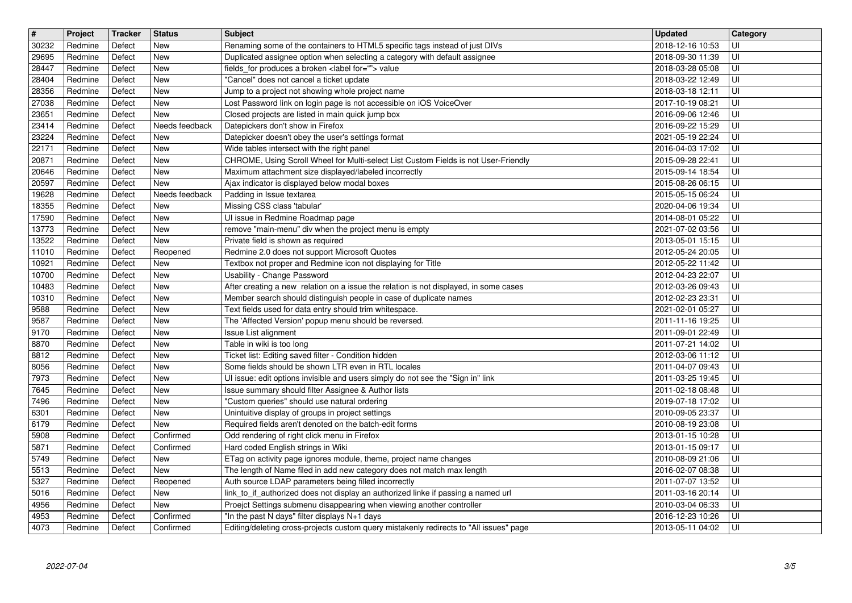| $\overline{\mathbf{H}}$ | Project            | Tracker          | <b>Status</b><br><b>New</b> | Subject<br>Renaming some of the containers to HTML5 specific tags instead of just DIVs                                                                     | <b>Updated</b>                       | <b>Category</b>         |
|-------------------------|--------------------|------------------|-----------------------------|------------------------------------------------------------------------------------------------------------------------------------------------------------|--------------------------------------|-------------------------|
| 30232<br>29695          | Redmine<br>Redmine | Defect<br>Defect | <b>New</b>                  | Duplicated assignee option when selecting a category with default assignee                                                                                 | 2018-12-16 10:53<br>2018-09-30 11:39 | UI<br>UI                |
| 28447<br>28404          | Redmine<br>Redmine | Defect<br>Defect | New<br><b>New</b>           | fields_for produces a broken <label for=""> value<br/>"Cancel" does not cancel a ticket update</label>                                                     | 2018-03-28 05:08<br>2018-03-22 12:49 | UI<br>l UI              |
| 28356                   | Redmine            | Defect           | <b>New</b>                  | Jump to a project not showing whole project name                                                                                                           | 2018-03-18 12:11                     | UI                      |
| 27038<br>23651          | Redmine<br>Redmine | Defect<br>Defect | <b>New</b><br><b>New</b>    | Lost Password link on login page is not accessible on iOS VoiceOver<br>Closed projects are listed in main quick jump box                                   | 2017-10-19 08:21<br>2016-09-06 12:46 | UI<br>UI                |
| 23414                   | Redmine            | Defect           | Needs feedback              | Datepickers don't show in Firefox                                                                                                                          | 2016-09-22 15:29                     | UI                      |
| 23224<br>22171          | Redmine<br>Redmine | Defect<br>Defect | New<br><b>New</b>           | Datepicker doesn't obey the user's settings format<br>Wide tables intersect with the right panel                                                           | 2021-05-19 22:24                     | UI<br>UI                |
| 20871                   | Redmine            | Defect           | New                         | CHROME, Using Scroll Wheel for Multi-select List Custom Fields is not User-Friendly                                                                        | 2016-04-03 17:02<br>2015-09-28 22:41 | UI                      |
| 20646<br>20597          | Redmine<br>Redmine | Defect<br>Defect | <b>New</b><br><b>New</b>    | Maximum attachment size displayed/labeled incorrectly<br>Ajax indicator is displayed below modal boxes                                                     | 2015-09-14 18:54<br>2015-08-26 06:15 | UI<br>UI                |
| 19628                   | Redmine            | Defect           | Needs feedback              | Padding in Issue textarea                                                                                                                                  | 2015-05-15 06:24                     | UI                      |
| 18355<br>17590          | Redmine<br>Redmine | Defect<br>Defect | New<br><b>New</b>           | Missing CSS class 'tabular'<br>UI issue in Redmine Roadmap page                                                                                            | 2020-04-06 19:34<br>2014-08-01 05:22 | UI<br>UI                |
| 13773                   | Redmine            | Defect           | New                         | remove "main-menu" div when the project menu is empty                                                                                                      | 2021-07-02 03:56                     | UI                      |
| 13522<br>11010          | Redmine<br>Redmine | Defect<br>Defect | <b>New</b><br>Reopened      | Private field is shown as required<br>Redmine 2.0 does not support Microsoft Quotes                                                                        | 2013-05-01 15:15<br>2012-05-24 20:05 | UI<br>UI                |
| 10921                   | Redmine            | Defect           | <b>New</b>                  | Textbox not proper and Redmine icon not displaying for Title                                                                                               | 2012-05-22 11:42                     | UI                      |
| 10700<br>10483          | Redmine<br>Redmine | Defect<br>Defect | <b>New</b><br><b>New</b>    | Usability - Change Password<br>After creating a new relation on a issue the relation is not displayed, in some cases                                       | 2012-04-23 22:07<br>2012-03-26 09:43 | UI<br>UI                |
| 10310                   | Redmine            | Defect           | <b>New</b>                  | Member search should distinguish people in case of duplicate names                                                                                         | 2012-02-23 23:31                     | UI                      |
| 9588<br>9587            | Redmine<br>Redmine | Defect<br>Defect | New<br><b>New</b>           | Text fields used for data entry should trim whitespace.<br>The 'Affected Version' popup menu should be reversed.                                           | 2021-02-01 05:27<br>2011-11-16 19:25 | UI<br>UI                |
| 9170                    | Redmine            | Defect           | New                         | Issue List alignment                                                                                                                                       | 2011-09-01 22:49                     | UI                      |
| 8870                    | Redmine            | Defect           | <b>New</b>                  | Table in wiki is too long                                                                                                                                  | 2011-07-21 14:02                     | UI                      |
| 8812<br>8056            | Redmine<br>Redmine | Defect<br>Defect | <b>New</b><br><b>New</b>    | Ticket list: Editing saved filter - Condition hidden<br>Some fields should be shown LTR even in RTL locales                                                | 2012-03-06 11:12<br>2011-04-07 09:43 | UI<br>UI                |
| 7973                    | Redmine            | Defect           | <b>New</b>                  | UI issue: edit options invisible and users simply do not see the "Sign in" link                                                                            | 2011-03-25 19:45                     | UI                      |
| 7645<br>7496            | Redmine<br>Redmine | Defect<br>Defect | <b>New</b><br><b>New</b>    | Issue summary should filter Assignee & Author lists<br>"Custom queries" should use natural ordering                                                        | 2011-02-18 08:48<br>2019-07-18 17:02 | UI<br>UI                |
| 6301                    | Redmine            | Defect           | New                         | Unintuitive display of groups in project settings                                                                                                          | 2010-09-05 23:37                     | UI                      |
| 6179<br>5908            | Redmine<br>Redmine | Defect<br>Defect | <b>New</b><br>Confirmed     | Required fields aren't denoted on the batch-edit forms<br>Odd rendering of right click menu in Firefox                                                     | 2010-08-19 23:08<br>2013-01-15 10:28 | UI<br>UI                |
| 5871                    | Redmine            | Defect           | Confirmed                   | Hard coded English strings in Wiki                                                                                                                         | 2013-01-15 09:17                     | UI                      |
| 5749<br>5513            | Redmine<br>Redmine | Defect<br>Defect | New<br>New                  | ETag on activity page ignores module, theme, project name changes<br>The length of Name filed in add new category does not match max length                | 2010-08-09 21:06<br>2016-02-07 08:38 | UI<br>UI                |
| 5327                    | Redmine            | Defect           | Reopened                    | Auth source LDAP parameters being filled incorrectly                                                                                                       | 2011-07-07 13:52                     | $\overline{\mathsf{U}}$ |
| 5016<br>4956            | Redmine<br>Redmine | Defect<br>Defect | New<br>New                  | link to if authorized does not display an authorized linke if passing a named url<br>Proejct Settings submenu disappearing when viewing another controller | 2011-03-16 20:14<br>2010-03-04 06:33 | l UI<br>l UI-           |
| 4953                    | Redmine            | Defect           | Confirmed                   | "In the past N days" filter displays N+1 days                                                                                                              | 2016-12-23 10:26                     | l UI-                   |
| 4073                    | Redmine            | Defect           | Confirmed                   | Editing/deleting cross-projects custom query mistakenly redirects to "All issues" page                                                                     | 2013-05-11 04:02                     | U                       |
|                         |                    |                  |                             |                                                                                                                                                            |                                      |                         |
|                         |                    |                  |                             |                                                                                                                                                            |                                      |                         |
|                         |                    |                  |                             |                                                                                                                                                            |                                      |                         |
|                         |                    |                  |                             |                                                                                                                                                            |                                      |                         |
|                         |                    |                  |                             |                                                                                                                                                            |                                      |                         |
|                         |                    |                  |                             |                                                                                                                                                            |                                      |                         |
|                         |                    |                  |                             |                                                                                                                                                            |                                      |                         |
|                         |                    |                  |                             |                                                                                                                                                            |                                      |                         |
|                         |                    |                  |                             |                                                                                                                                                            |                                      |                         |
|                         |                    |                  |                             |                                                                                                                                                            |                                      |                         |
|                         |                    |                  |                             |                                                                                                                                                            |                                      |                         |
|                         |                    |                  |                             |                                                                                                                                                            |                                      |                         |
|                         |                    |                  |                             |                                                                                                                                                            |                                      |                         |
|                         |                    |                  |                             |                                                                                                                                                            |                                      |                         |
|                         |                    |                  |                             |                                                                                                                                                            |                                      |                         |
|                         |                    |                  |                             |                                                                                                                                                            |                                      |                         |
|                         |                    |                  |                             |                                                                                                                                                            |                                      |                         |
|                         |                    |                  |                             |                                                                                                                                                            |                                      |                         |
|                         |                    |                  |                             |                                                                                                                                                            |                                      |                         |
|                         |                    |                  |                             |                                                                                                                                                            |                                      |                         |
|                         |                    |                  |                             |                                                                                                                                                            |                                      |                         |
|                         |                    |                  |                             |                                                                                                                                                            |                                      |                         |
|                         |                    |                  |                             |                                                                                                                                                            |                                      |                         |
|                         |                    |                  |                             |                                                                                                                                                            |                                      |                         |
|                         |                    |                  |                             |                                                                                                                                                            |                                      |                         |
|                         |                    |                  |                             |                                                                                                                                                            |                                      |                         |
|                         |                    |                  |                             |                                                                                                                                                            |                                      |                         |
|                         |                    |                  |                             |                                                                                                                                                            |                                      |                         |
|                         |                    |                  |                             |                                                                                                                                                            |                                      |                         |
|                         |                    |                  |                             |                                                                                                                                                            |                                      |                         |
|                         |                    |                  |                             |                                                                                                                                                            |                                      |                         |
|                         |                    |                  |                             |                                                                                                                                                            |                                      |                         |
|                         |                    |                  |                             |                                                                                                                                                            |                                      |                         |
|                         |                    |                  |                             |                                                                                                                                                            |                                      |                         |
|                         |                    |                  |                             |                                                                                                                                                            |                                      |                         |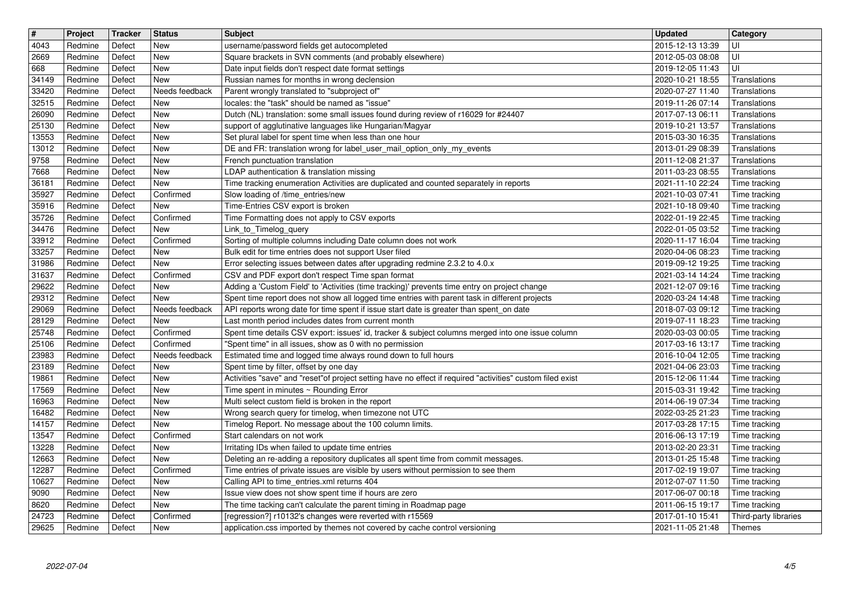| $\overline{\mathbf{r}}$ | Project            | Tracker          | <b>Status</b>           | <b>Subject</b>                                                                                                                                                                            | <b>Updated</b>                       | Category                       |
|-------------------------|--------------------|------------------|-------------------------|-------------------------------------------------------------------------------------------------------------------------------------------------------------------------------------------|--------------------------------------|--------------------------------|
| 4043                    | Redmine            | Defect           | New                     | username/password fields get autocompleted                                                                                                                                                | 2015-12-13 13:39                     | UI                             |
| 2669<br>668             | Redmine<br>Redmine | Defect<br>Defect | New<br>New              | Square brackets in SVN comments (and probably elsewhere)<br>Date input fields don't respect date format settings                                                                          | 2012-05-03 08:08<br>2019-12-05 11:43 | UI<br>UI                       |
| 34149                   | Redmine            | Defect           | New                     | Russian names for months in wrong declension                                                                                                                                              | 2020-10-21 18:55                     | Translations                   |
| 33420                   | Redmine            | Defect           | Needs feedback          | Parent wrongly translated to "subproject of"                                                                                                                                              | 2020-07-27 11:40                     | Translations                   |
| 32515                   | Redmine            | Defect           | New                     | locales: the "task" should be named as "issue"                                                                                                                                            | 2019-11-26 07:14                     | Translations                   |
| 26090<br>25130          | Redmine<br>Redmine | Defect<br>Defect | New<br>New              | Dutch (NL) translation: some small issues found during review of r16029 for #24407<br>support of agglutinative languages like Hungarian/Magyar                                            | 2017-07-13 06:11<br>2019-10-21 13:57 | Translations<br>Translations   |
| 13553                   | Redmine            | Defect           | New                     | Set plural label for spent time when less than one hour                                                                                                                                   | 2015-03-30 16:35                     | Translations                   |
| 13012                   | Redmine            | Defect           | New                     | DE and FR: translation wrong for label_user_mail_option_only_my_events                                                                                                                    | 2013-01-29 08:39                     | Translations                   |
| 9758                    | Redmine            | Defect           | New                     | French punctuation translation                                                                                                                                                            | 2011-12-08 21:37                     | Translations                   |
| 7668                    | Redmine            | Defect           | New                     | LDAP authentication & translation missing                                                                                                                                                 | 2011-03-23 08:55                     | Translations                   |
| 36181<br>35927          | Redmine<br>Redmine | Defect<br>Defect | New<br>Confirmed        | Time tracking enumeration Activities are duplicated and counted separately in reports<br>Slow loading of /time_entries/new                                                                | 2021-11-10 22:24<br>2021-10-03 07:41 | Time tracking<br>Time tracking |
| 35916                   | Redmine            | Defect           | New                     | Time-Entries CSV export is broken                                                                                                                                                         | 2021-10-18 09:40                     | Time tracking                  |
| 35726                   | Redmine            | Defect           | Confirmed               | Time Formatting does not apply to CSV exports                                                                                                                                             | 2022-01-19 22:45                     | Time tracking                  |
| 34476                   | Redmine            | Defect           | New                     | Link_to_Timelog_query                                                                                                                                                                     | 2022-01-05 03:52                     | Time tracking                  |
| 33912<br>33257          | Redmine<br>Redmine | Defect<br>Defect | Confirmed<br><b>New</b> | Sorting of multiple columns including Date column does not work<br>Bulk edit for time entries does not support User filed                                                                 | 2020-11-17 16:04<br>2020-04-06 08:23 | Time tracking<br>Time tracking |
| 31986                   | Redmine            | Defect           | New                     | Error selecting issues between dates after upgrading redmine 2.3.2 to 4.0.x                                                                                                               | 2019-09-12 19:25                     | Time tracking                  |
| 31637                   | Redmine            | Defect           | Confirmed               | CSV and PDF export don't respect Time span format                                                                                                                                         | 2021-03-14 14:24                     | Time tracking                  |
| 29622                   | Redmine            | Defect           | New                     | Adding a 'Custom Field' to 'Activities (time tracking)' prevents time entry on project change                                                                                             | 2021-12-07 09:16                     | Time tracking                  |
| 29312<br>29069          | Redmine<br>Redmine | Defect<br>Defect | New<br>Needs feedback   | Spent time report does not show all logged time entries with parent task in different projects<br>API reports wrong date for time spent if issue start date is greater than spent_on date | 2020-03-24 14:48<br>2018-07-03 09:12 | Time tracking                  |
| 28129                   | Redmine            | Defect           | New                     | Last month period includes dates from current month                                                                                                                                       | 2019-07-11 18:23                     | Time tracking<br>Time tracking |
| 25748                   | Redmine            | Defect           | Confirmed               | Spent time details CSV export: issues' id, tracker & subject columns merged into one issue column                                                                                         | 2020-03-03 00:05                     | Time tracking                  |
| 25106                   | Redmine            | Defect           | Confirmed               | "Spent time" in all issues, show as 0 with no permission                                                                                                                                  | 2017-03-16 13:17                     | Time tracking                  |
| 23983                   | Redmine            | Defect           | Needs feedback          | Estimated time and logged time always round down to full hours                                                                                                                            | 2016-10-04 12:05                     | Time tracking                  |
| 23189<br>19861          | Redmine<br>Redmine | Defect<br>Defect | New<br>New              | Spent time by filter, offset by one day<br>Activities "save" and "reset"of project setting have no effect if required "activities" custom filed exist                                     | 2021-04-06 23:03<br>2015-12-06 11:44 | Time tracking<br>Time tracking |
| 17569                   | Redmine            | Defect           | New                     | Time spent in minutes ~ Rounding Error                                                                                                                                                    | 2015-03-31 19:42                     | Time tracking                  |
| 16963                   | Redmine            | Defect           | New                     | Multi select custom field is broken in the report                                                                                                                                         | 2014-06-19 07:34                     | Time tracking                  |
| 16482                   | Redmine            | Defect           | New                     | Wrong search query for timelog, when timezone not UTC                                                                                                                                     | 2022-03-25 21:23                     | Time tracking                  |
| 14157                   | Redmine            | Defect           | New                     | Timelog Report. No message about the 100 column limits.                                                                                                                                   | 2017-03-28 17:15                     | Time tracking                  |
| 13547<br>13228          | Redmine<br>Redmine | Defect<br>Defect | Confirmed<br><b>New</b> | Start calendars on not work<br>Irritating IDs when failed to update time entries                                                                                                          | 2016-06-13 17:19<br>2013-02-20 23:31 | Time tracking<br>Time tracking |
| 12663                   | Redmine            | Defect           | New                     | Deleting an re-adding a repository duplicates all spent time from commit messages.                                                                                                        | 2013-01-25 15:48                     | Time tracking                  |
| 12287                   | Redmine            | Defect           | Confirmed               | Time entries of private issues are visible by users without permission to see them                                                                                                        | 2017-02-19 19:07                     | Time tracking                  |
| 10627                   | Redmine            | Defect           | New                     | Calling API to time_entries.xml returns 404                                                                                                                                               | 2012-07-07 11:50 Time tracking       |                                |
| 9090<br>8620            | Redmine<br>Redmine | Defect<br>Defect | New<br>New              | lssue view does not show spent time if hours are zero<br>The time tacking can't calculate the parent timing in Roadmap page                                                               | 2017-06-07 00:18<br>2011-06-15 19:17 | Time tracking<br>Time tracking |
| 24723                   | Redmine            | Defect           | Confirmed               | [regression?] r10132's changes were reverted with r15569                                                                                                                                  | 2017-01-10 15:41                     | Third-party libraries          |
| 29625                   | Redmine            | Defect           | New                     | application.css imported by themes not covered by cache control versioning                                                                                                                | 2021-11-05 21:48                     | Themes                         |
|                         |                    |                  |                         |                                                                                                                                                                                           |                                      |                                |
|                         |                    |                  |                         |                                                                                                                                                                                           |                                      |                                |
|                         |                    |                  |                         |                                                                                                                                                                                           |                                      |                                |
|                         |                    |                  |                         |                                                                                                                                                                                           |                                      |                                |
|                         |                    |                  |                         |                                                                                                                                                                                           |                                      |                                |
|                         |                    |                  |                         |                                                                                                                                                                                           |                                      |                                |
|                         |                    |                  |                         |                                                                                                                                                                                           |                                      |                                |
|                         |                    |                  |                         |                                                                                                                                                                                           |                                      |                                |
|                         |                    |                  |                         |                                                                                                                                                                                           |                                      |                                |
|                         |                    |                  |                         |                                                                                                                                                                                           |                                      |                                |
|                         |                    |                  |                         |                                                                                                                                                                                           |                                      |                                |
|                         |                    |                  |                         |                                                                                                                                                                                           |                                      |                                |
|                         |                    |                  |                         |                                                                                                                                                                                           |                                      |                                |